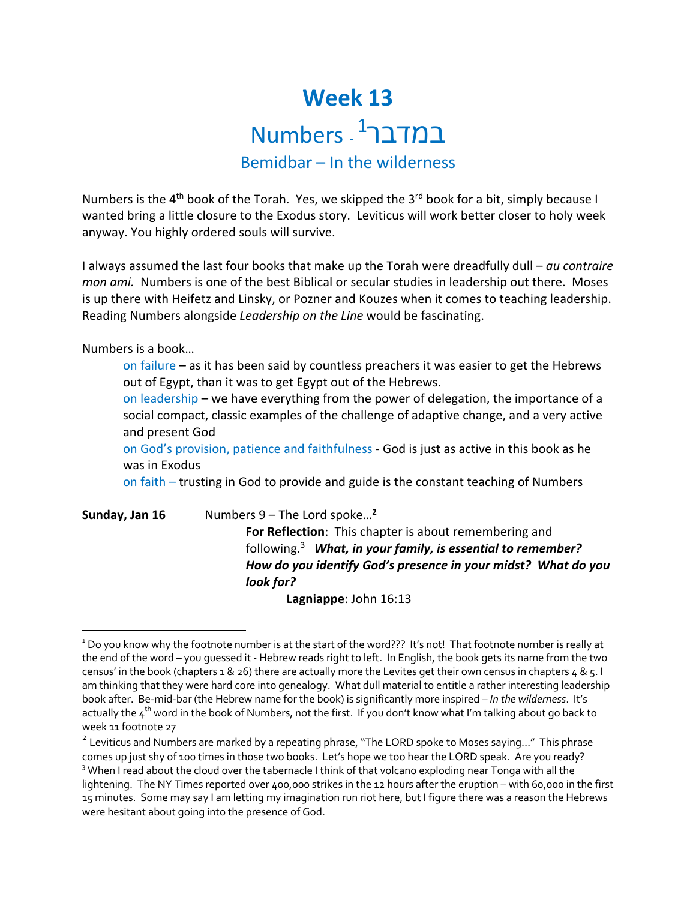## **Week 13** במדבר<sup>1</sup> - Numbers

## Bemidbar – In the wilderness

Numbers is the 4<sup>th</sup> book of the Torah. Yes, we skipped the 3<sup>rd</sup> book for a bit, simply because I wanted bring a little closure to the Exodus story. Leviticus will work better closer to holy week anyway. You highly ordered souls will survive.

I always assumed the last four books that make up the Torah were dreadfully dull – *au contraire mon ami.* Numbers is one of the best Biblical or secular studies in leadership out there. Moses is up there with Heifetz and Linsky, or Pozner and Kouzes when it comes to teaching leadership. Reading Numbers alongside *Leadership on the Line* would be fascinating.

Numbers is a book…

on failure – as it has been said by countless preachers it was easier to get the Hebrews out of Egypt, than it was to get Egypt out of the Hebrews.

on leadership – we have everything from the power of delegation, the importance of a social compact, classic examples of the challenge of adaptive change, and a very active and present God

on God's provision, patience and faithfulness - God is just as active in this book as he was in Exodus

on faith – trusting in God to provide and guide is the constant teaching of Numbers

| Sunday, Jan 16 | Numbers $9$ – The Lord spoke <sup>2</sup>                         |
|----------------|-------------------------------------------------------------------|
|                | For Reflection: This chapter is about remembering and             |
|                | following. <i>What, in your family, is essential to remember?</i> |
|                | How do you identify God's presence in your midst? What do you     |
|                | look for?                                                         |
|                | Lagniappe: John 16:13                                             |

<sup>&</sup>lt;sup>1</sup> Do you know why the footnote number is at the start of the word??? It's not! That footnote number is really at the end of the word – you guessed it - Hebrew reads right to left. In English, the book gets its name from the two census' in the book (chapters 1 & 26) there are actually more the Levites get their own census in chapters  $4 \& 5.1$ am thinking that they were hard core into genealogy. What dull material to entitle a rather interesting leadership book after. Be-mid-bar (the Hebrew name for the book) is significantly more inspired – *In the wilderness*. It's actually the  $4^{th}$  word in the book of Numbers, not the first. If you don't know what I'm talking about go back to week 11 footnote 27

<sup>&</sup>lt;sup>2</sup> Leviticus and Numbers are marked by a repeating phrase, "The LORD spoke to Moses saying..." This phrase comes up just shy of 100 times in those two books. Let's hope we too hear the LORD speak. Are you ready? <sup>3</sup> When I read about the cloud over the tabernacle I think of that volcano exploding near Tonga with all the lightening. The NY Times reported over 400,000 strikes in the 12 hours after the eruption – with 60,000 in the first 15 minutes. Some may say I am letting my imagination run riot here, but I figure there was a reason the Hebrews were hesitant about going into the presence of God.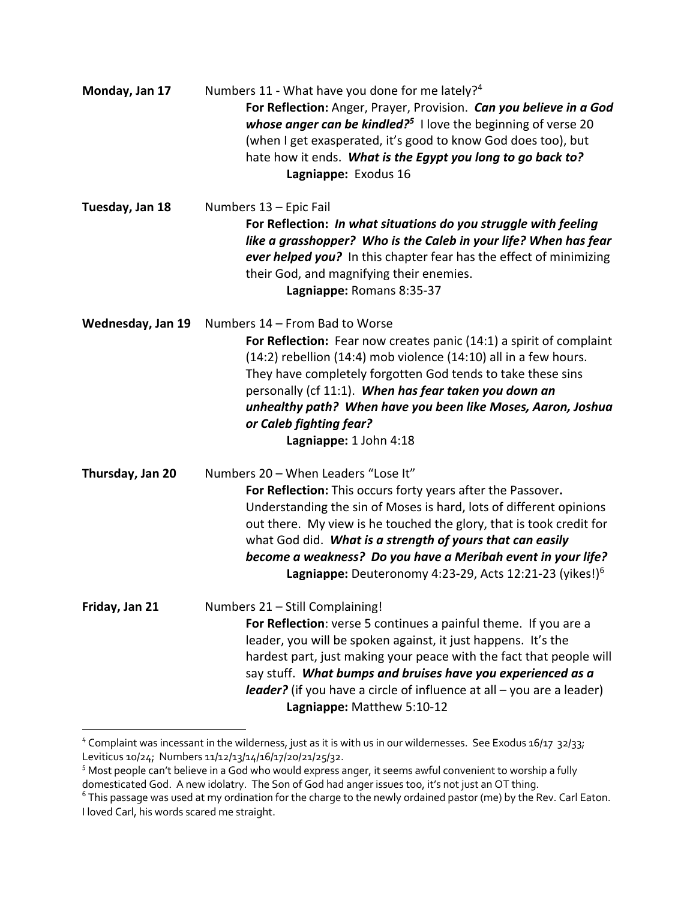| Monday, Jan 17    | Numbers 11 - What have you done for me lately? <sup>4</sup><br>For Reflection: Anger, Prayer, Provision. Can you believe in a God<br>whose anger can be kindled? $5$ I love the beginning of verse 20<br>(when I get exasperated, it's good to know God does too), but<br>hate how it ends. What is the Egypt you long to go back to?<br>Lagniappe: Exodus 16                                                                                       |
|-------------------|-----------------------------------------------------------------------------------------------------------------------------------------------------------------------------------------------------------------------------------------------------------------------------------------------------------------------------------------------------------------------------------------------------------------------------------------------------|
| Tuesday, Jan 18   | Numbers 13 - Epic Fail<br>For Reflection: In what situations do you struggle with feeling<br>like a grasshopper? Who is the Caleb in your life? When has fear<br>ever helped you? In this chapter fear has the effect of minimizing<br>their God, and magnifying their enemies.<br>Lagniappe: Romans 8:35-37                                                                                                                                        |
| Wednesday, Jan 19 | Numbers 14 - From Bad to Worse<br>For Reflection: Fear now creates panic (14:1) a spirit of complaint<br>$(14:2)$ rebellion $(14:4)$ mob violence $(14:10)$ all in a few hours.<br>They have completely forgotten God tends to take these sins<br>personally (cf 11:1). When has fear taken you down an<br>unhealthy path? When have you been like Moses, Aaron, Joshua<br>or Caleb fighting fear?<br>Lagniappe: 1 John 4:18                        |
| Thursday, Jan 20  | Numbers 20 - When Leaders "Lose It"<br>For Reflection: This occurs forty years after the Passover.<br>Understanding the sin of Moses is hard, lots of different opinions<br>out there. My view is he touched the glory, that is took credit for<br>what God did. What is a strength of yours that can easily<br>become a weakness? Do you have a Meribah event in your life?<br>Lagniappe: Deuteronomy 4:23-29, Acts 12:21-23 (yikes!) <sup>6</sup> |
| Friday, Jan 21    | Numbers 21 - Still Complaining!<br>For Reflection: verse 5 continues a painful theme. If you are a<br>leader, you will be spoken against, it just happens. It's the<br>hardest part, just making your peace with the fact that people will<br>say stuff. What bumps and bruises have you experienced as a<br><b>leader?</b> (if you have a circle of influence at all – you are a leader)<br>Lagniappe: Matthew 5:10-12                             |

<sup>4</sup> Complaint was incessant in the wilderness, just as it is with us in our wildernesses. See Exodus 16/17 32/33; Leviticus 10/24; Numbers 11/12/13/14/16/17/20/21/25/32.

<sup>&</sup>lt;sup>5</sup> Most people can't believe in a God who would express anger, it seems awful convenient to worship a fully domesticated God. A new idolatry. The Son of God had anger issues too, it's not just an OT thing.

<sup>6</sup> This passage was used at my ordination for the charge to the newly ordained pastor (me) by the Rev. Carl Eaton. I loved Carl, his words scared me straight.